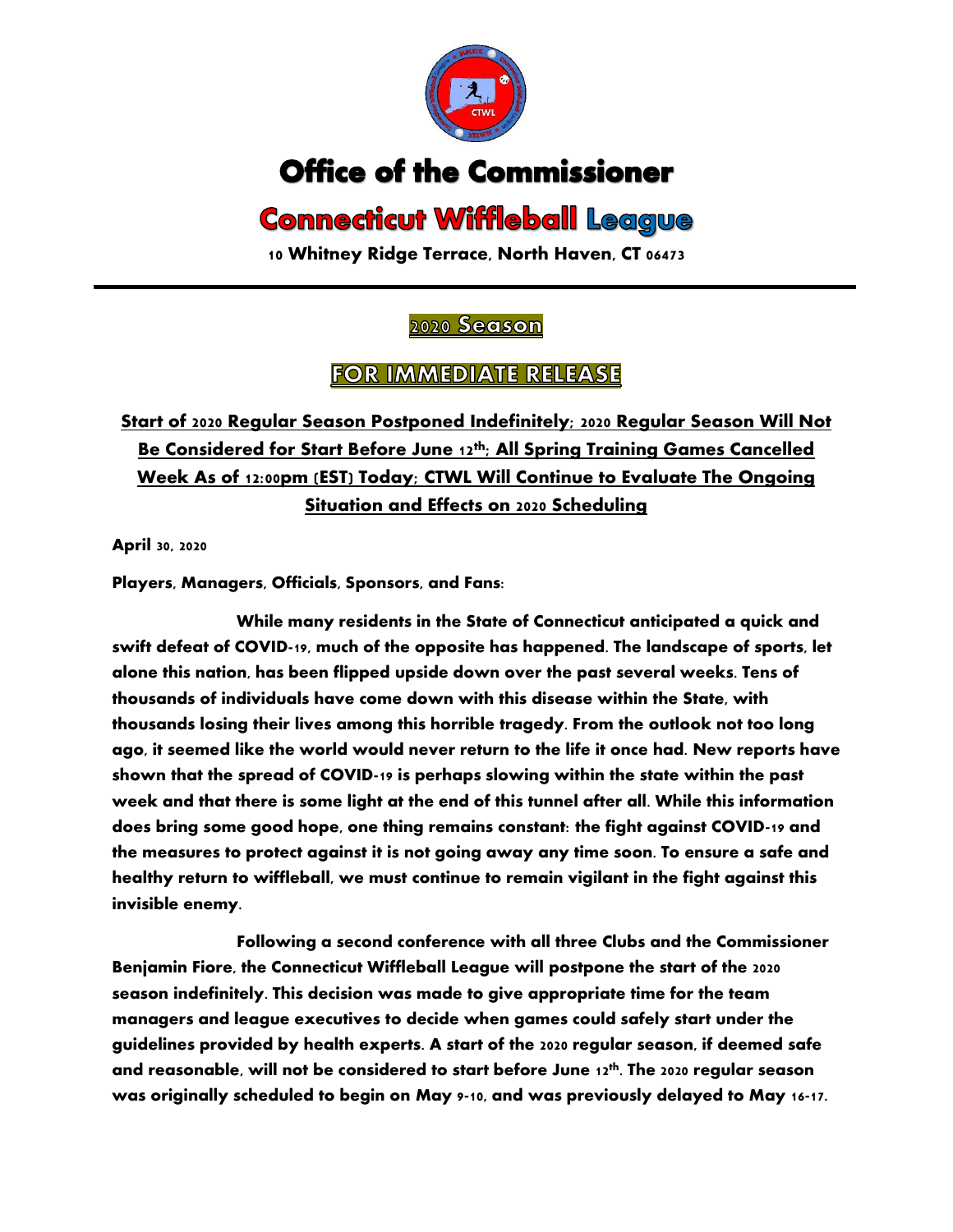

# **Office of the Commissioner**

# **Connecticut Wiffleball League**

**10 Whitney Ridge Terrace, North Haven, CT 06473**

#### 2020 Season

### **FOR IMMEDIATE RELEASE**

## **Start of 2020 Regular Season Postponed Indefinitely; 2020 Regular Season Will Not Be Considered for Start Before June 12th; All Spring Training Games Cancelled Week As of 12:00pm (EST) Today; CTWL Will Continue to Evaluate The Ongoing Situation and Effects on 2020 Scheduling**

**April 30, 2020**

**Players, Managers, Officials, Sponsors, and Fans:**

**While many residents in the State of Connecticut anticipated a quick and swift defeat of COVID-19, much of the opposite has happened. The landscape of sports, let alone this nation, has been flipped upside down over the past several weeks. Tens of thousands of individuals have come down with this disease within the State, with thousands losing their lives among this horrible tragedy. From the outlook not too long ago, it seemed like the world would never return to the life it once had. New reports have shown that the spread of COVID-19 is perhaps slowing within the state within the past week and that there is some light at the end of this tunnel after all. While this information does bring some good hope, one thing remains constant: the fight against COVID-19 and the measures to protect against it is not going away any time soon. To ensure a safe and healthy return to wiffleball, we must continue to remain vigilant in the fight against this invisible enemy.**

**Following a second conference with all three Clubs and the Commissioner Benjamin Fiore, the Connecticut Wiffleball League will postpone the start of the 2020 season indefinitely. This decision was made to give appropriate time for the team managers and league executives to decide when games could safely start under the guidelines provided by health experts. A start of the 2020 regular season, if deemed safe and reasonable, will not be considered to start before June 12th . The 2020 regular season was originally scheduled to begin on May 9-10, and was previously delayed to May 16-17.**